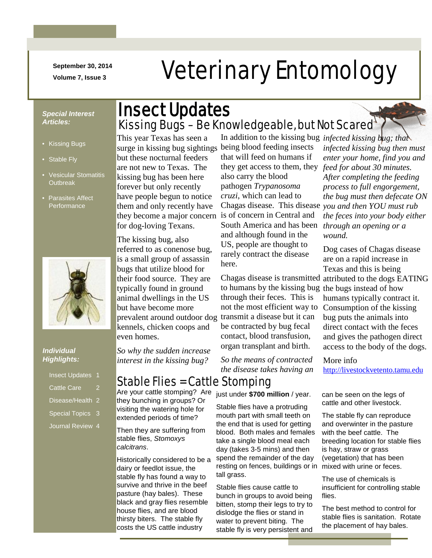**September 30, 2014**

## N m -/.///../. mmmmmmmm **September 30, 2014** Veterinary Entomology

#### *Special Interest Articles:*

- Kissing Bugs
- Stable Fly
- Vesicular Stomatitis **Outbreak**
- Parasites Affect **Performance**



#### *Individual Highlights:*

| <b>Insect Updates</b>       |   |
|-----------------------------|---|
| <b>Cattle Care</b>          | 2 |
| Disease/Health <sub>2</sub> |   |
| Special Topics 3            |   |

Journal Review 4

## Kissing Bugs - Be Knowledgeable, but Not Scared Insect Updates

This year Texas has seen a surge in kissing bug sightings being blood feeding insects but these nocturnal feeders are not new to Texas. The kissing bug has been here forever but only recently have people begun to notice them and only recently have they become a major concern for dog-loving Texans.

The kissing bug, also referred to as conenose bug, is a small group of assassin bugs that utilize blood for their food source. They are typically found in ground animal dwellings in the US but have become more prevalent around outdoor dog transmit a disease but it can kennels, chicken coops and even homes.

In addition to the kissing bug *infected kissing bug; that*  that will feed on humans if they get access to them, they *feed for about 30 minutes.*  also carry the blood pathogen *Trypanosoma cruzi*, which can lead to is of concern in Central and South America and has been and although found in the US, people are thought to rarely contract the disease here.

to humans by the kissing bug the bugs instead of how through their feces. This is not the most efficient way to be contracted by bug fecal contact, blood transfusion, organ transplant and birth.

*So the means of contracted the disease takes having an* 

### Stable Flies = Cattle Stomping

Are your cattle stomping? Are they bunching in groups? Or visiting the watering hole for extended periods of time?

*So why the sudden increase interest in the kissing bug?* 

Then they are suffering from stable flies, *Stomoxys calcitrans*.

Historically considered to be a dairy or feedlot issue, the stable fly has found a way to survive and thrive in the beef pasture (hay bales). These black and gray flies resemble house flies, and are blood thirsty biters. The stable fly costs the US cattle industry

just under **\$700 million** / year.

Stable flies have a protruding mouth part with small teeth on the end that is used for getting blood. Both males and females take a single blood meal each day (takes 3-5 mins) and then spend the remainder of the day resting on fences, buildings or in tall grass.

Stable flies cause cattle to bunch in groups to avoid being bitten, stomp their legs to try to dislodge the flies or stand in water to prevent biting. The stable fly is very persistent and

Chagas disease. This disease *you and then YOU must rub infected kissing bug then must enter your home, find you and After completing the feeding process to full engorgement, the bug must then defecate ON the feces into your body either through an opening or a wound.*

Chagas disease is transmitted attributed to the dogs EATING Dog cases of Chagas disease are on a rapid increase in Texas and this is being humans typically contract it. Consumption of the kissing bug puts the animals into direct contact with the feces and gives the pathogen direct access to the body of the dogs.

> More info [http://livestockvetento.tamu.edu](http://livestockvetento.tamu.edu/)

can be seen on the legs of cattle and other livestock.

The stable fly can reproduce and overwinter in the pasture with the beef cattle. The breeding location for stable flies is hay, straw or grass (vegetation) that has been mixed with urine or feces.

The use of chemicals is insufficient for controlling stable flies.

The best method to control for stable flies is sanitation. Rotate the placement of hay bales.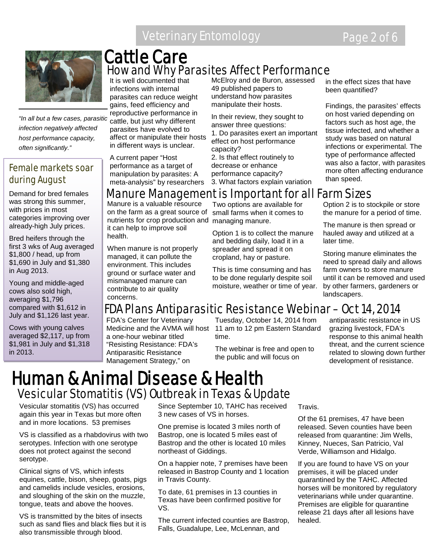### Veterinary Entomology **Page 2 of 6**



*"In all but a few cases, parasitic infection negatively affected host performance capacity, often significantly."*

### Female markets soar during August

Demand for bred females was strong this summer, with prices in most categories improving over already-high July prices.

Bred heifers through the first 3 wks of Aug averaged \$1,800 / head, up from \$1,690 in July and \$1,380 in Aug 2013.

Young and middle-aged cows also sold high, averaging \$1,796 compared with \$1,612 in July and \$1,126 last year.

Cows with young calves averaged \$2,117, up from \$1,981 in July and \$1,318 in 2013.

## Cattle Care How and Why Parasites Affect Performance

It is well documented that infections with internal parasites can reduce weight gains, feed efficiency and reproductive performance in cattle, but just why different parasites have evolved to affect or manipulate their hosts in different ways is unclear.

A current paper "Host performance as a target of manipulation by parasites: A meta-analysis" by researchers McElroy and de Buron, assessed 49 published papers to understand how parasites manipulate their hosts.

In their review, they sought to answer three questions:

1. Do parasites exert an important effect on host performance capacity?

2. Is that effect routinely to decrease or enhance performance capacity?

3. What factors explain variation

in the effect sizes that have been quantified?

Findings, the parasites' effects on host varied depending on factors such as host age, the tissue infected, and whether a study was based on natural infections or experimental. The type of performance affected was also a factor, with parasites more often affecting endurance than speed.

### Manure Management is Important for all Farm Sizes

Manure is a valuable resource on the farm as a great source of nutrients for crop production and it can help to improve soil health.

When manure is not properly managed, it can pollute the environment. This includes ground or surface water and mismanaged manure can contribute to air quality concerns.

Two options are available for small farms when it comes to managing manure.

Option 1 is to collect the manure and bedding daily, load it in a spreader and spread it on cropland, hay or pasture.

This is time consuming and has to be done regularly despite soil moisture, weather or time of year. Option 2 is to stockpile or store the manure for a period of time.

The manure is then spread or hauled away and utilized at a later time.

Storing manure eliminates the need to spread daily and allows farm owners to store manure until it can be removed and used by other farmers, gardeners or landscapers.

## FDA Plans Antiparasitic Resistance Webinar – Oct 14, 2014

FDA's Center for Veterinary a one-hour webinar titled "Resisting Resistance: FDA's Antiparasitic Resistance Management Strategy," on

Medicine and the AVMA will host 11 am to 12 pm Eastern Standard Tuesday, October 14, 2014 from time.

> The webinar is free and open to the public and will focus on

antiparasitic resistance in US grazing livestock, FDA's response to this animal health threat, and the current science related to slowing down further development of resistance.

## Human & Animal Disease & Health Vesicular Stomatitis (VS) Outbreak in Texas & Update

Vesicular stomatitis (VS) has occurred again this year in Texas but more often and in more locations. 53 premises

VS is classified as a rhabdovirus with two serotypes. Infection with one serotype does not protect against the second serotype.

Clinical signs of VS, which infests equines, cattle, bison, sheep, goats, pigs and camelids include vesicles, erosions, and sloughing of the skin on the muzzle, tongue, teats and above the hooves.

VS is transmitted by the bites of insects such as sand flies and black flies but it is also transmissible through blood.

Since September 10, TAHC has received 3 new cases of VS in horses.

One premise is located 3 miles north of Bastrop, one is located 5 miles east of Bastrop and the other is located 10 miles northeast of Giddings.

On a happier note, 7 premises have been released in Bastrop County and 1 location in Travis County.

To date, 61 premises in 13 counties in Texas have been confirmed positive for VS.

The current infected counties are Bastrop, Falls, Guadalupe, Lee, McLennan, and

Travis.

Of the 61 premises, 47 have been released. Seven counties have been released from quarantine: Jim Wells, Kinney, Nueces, San Patricio, Val Verde, Williamson and Hidalgo.

If you are found to have VS on your premises, it will be placed under quarantined by the TAHC. Affected horses will be monitored by regulatory veterinarians while under quarantine. Premises are eligible for quarantine release 21 days after all lesions have healed.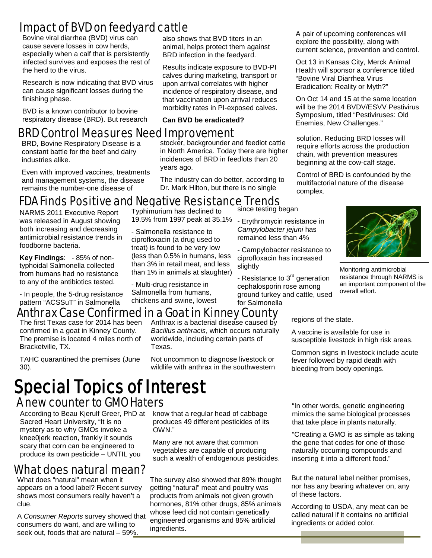## Impact of BVD on feedyard cattle

Bovine viral diarrhea (BVD) virus can cause severe losses in cow herds, especially when a calf that is persistently infected survives and exposes the rest of the herd to the virus.

Research is now indicating that BVD virus can cause significant losses during the finishing phase.

BVD is a known contributor to bovine respiratory disease (BRD). But research also shows that BVD titers in an animal, helps protect them against BRD infection in the feedyard.

Results indicate exposure to BVD-PI calves during marketing, transport or upon arrival correlates with higher incidence of respiratory disease, and that vaccination upon arrival reduces morbidity rates in PI-exposed calves.

**Can BVD be eradicated?**

### BRD Control Measures Need Improvement

BRD, Bovine Respiratory Disease is a constant battle for the beef and dairy industries alike.

Even with improved vaccines, treatments and management systems, the disease remains the number-one disease of

stocker, backgrounder and feedlot cattle in North America. Today there are higher incidences of BRD in feedlots than 20 years ago.

The industry can do better, according to Dr. Mark Hilton, but there is no single

A pair of upcoming conferences will explore the possibility, along with current science, prevention and control.

Oct 13 in Kansas City, Merck Animal Health will sponsor a conference titled "Bovine Viral Diarrhea Virus Eradication: Reality or Myth?"

On Oct 14 and 15 at the same location will be the 2014 BVDV/ESVV Pestivirus Symposium, titled "Pestiviruses: Old Enemies, New Challenges."

solution. Reducing BRD losses will require efforts across the production chain, with prevention measures beginning at the cow-calf stage.

Control of BRD is confounded by the multifactorial nature of the disease complex.

## FDA Finds Positive and Negative Resistance Trends

NARMS 2011 Executive Report was released in August showing both increasing and decreasing antimicrobial resistance trends in foodborne bacteria.

**Key Findings**: - 85% of nontyphoidal Salmonella collected from humans had no resistance to any of the antibiotics tested.

Typhimurium has declined to 19.5% from 1997 peak at 35.1%

- Salmonella resistance to ciprofloxacin (a drug used to treat) is found to be very low (less than 0.5% in humans, less than 3% in retail meat, and less than 1% in animals at slaughter)

- Multi-drug resistance in Salmonella from humans, chickens and swine, lowest since testing began

- Erythromycin resistance in *Campylobacter jejuni* has remained less than 4%
- Campylobacter resistance to ciprofloxacin has increased slightly

- Resistance to 3<sup>rd</sup> generation cephalosporin rose among ground turkey and cattle, used for Salmonella

#### - In people, the 5-drug resistance pattern "ACSSuT" in Salmonella

## Anthrax Case Confirmed in a Goat in Kinney County<br>The first Texas case for 2014 has been Apthrax is a bacterial disease caused by regions of the state.

The first Texas case for 2014 has been confirmed in a goat in Kinney County. The premise is located 4 miles north of Bracketville, TX.

TAHC quarantined the premises (June 30).

Anthrax is a bacterial disease caused by *Bacillus anthracis*, which occurs naturally worldwide, including certain parts of Texas.

Not uncommon to diagnose livestock or wildlife with anthrax in the southwestern

A vaccine is available for use in susceptible livestock in high risk areas.

overall effort.

Common signs in livestock include acute fever followed by rapid death with bleeding from body openings.

## Special Topics of Interest A new counter to GMO Haters

According to Beau Kjerulf Greer, PhD at Sacred Heart University, "It is no mystery as to why GMOs invoke a knee0jerk reaction, frankly it sounds scary that corn can be engineered to produce its own pesticide – UNTIL you

## What does natural mean?

What does "natural" mean when it appears on a food label? Recent survey shows most consumers really haven't a clue.

A *Consumer Reports* survey showed that consumers do want, and are willing to seek out, foods that are natural – 59%.

know that a regular head of cabbage produces 49 different pesticides of its OWN."

Many are not aware that common vegetables are capable of producing such a wealth of endogenous pesticides.

The survey also showed that 89% thought getting "natural" meat and poultry was products from animals not given growth hormones, 81% other drugs, 85% animals whose feed did not contain genetically engineered organisms and 85% artificial ingredients.

"In other words, genetic engineering mimics the same biological processes that take place in plants naturally.

"Creating a GMO is as simple as taking the gene that codes for one of those naturally occurring compounds and inserting it into a different food."

But the natural label neither promises, nor has any bearing whatever on, any of these factors.

According to USDA, any meat can be called natural if it contains no artificial ingredients or added color.



resistance through NARMS is an important component of the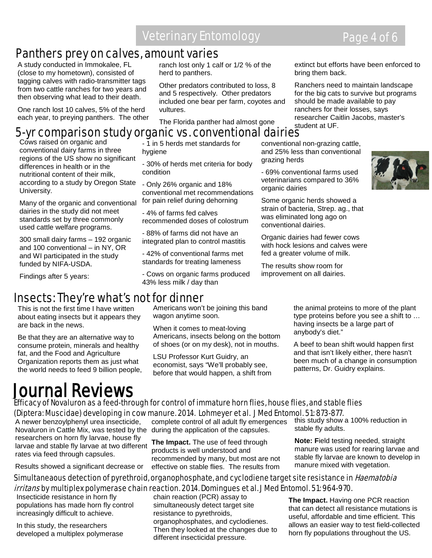### Veterinary Entomology **Page 4 of 6**

### Panthers prey on calves, amount varies

A study conducted in Immokalee, FL (close to my hometown), consisted of tagging calves with radio-transmitter tags from two cattle ranches for two years and then observing what lead to their death.

 One ranch lost 10 calves, 5% of the herd each year, to preying panthers. The other ranch lost only 1 calf or 1/2 % of the herd to panthers.

Other predators contributed to loss, 8 and 5 respectively. Other predators included one bear per farm, coyotes and vultures.

The Florida panther had almost gone

extinct but efforts have been enforced to bring them back.

Ranchers need to maintain landscape for the big cats to survive but programs should be made available to pay ranchers for their losses, says researcher Caitlin Jacobs, master's student at UF.

### 5-yr comparison study organic vs. conventional dairies

Cows raised on organic and conventional dairy farms in three regions of the US show no significant differences in health or in the nutritional content of their milk, according to a study by Oregon State University.

Many of the organic and conventional dairies in the study did not meet standards set by three commonly used cattle welfare programs.

300 small dairy farms – 192 organic and 100 conventional – in NY, OR and WI participated in the study funded by NIFA-USDA.

Findings after 5 years:

### - 1 in 5 herds met standards for hygiene

- 30% of herds met criteria for body condition

- Only 26% organic and 18% conventional met recommendations for pain relief during dehorning

- 4% of farms fed calves recommended doses of colostrum

- 88% of farms did not have an integrated plan to control mastitis

- 42% of conventional farms met standards for treating lameness

- Cows on organic farms produced 43% less milk / day than

conventional non-grazing cattle, and 25% less than conventional grazing herds

- 69% conventional farms used veterinarians compared to 36% organic dairies

Some organic herds showed a strain of bacteria, Strep. ag., that was eliminated long ago on

Organic dairies had fewer cows with hock lesions and calves were fed a greater volume of milk.

The results show room for improvement on all dairies.

### Insects: They're what's not for dinner

This is not the first time I have written about eating insects but it appears they are back in the news.

Be that they are an alternative way to consume protein, minerals and healthy fat, and the Food and Agriculture Organization reports them as just what the world needs to feed 9 billion people, Americans won't be joining this band wagon anytime soon.

When it comes to meat-loving Americans, insects belong on the bottom of shoes (or on my desk), not in mouths.

LSU Professor Kurt Guidry, an economist, says "We'll probably see, before that would happen, a shift from the animal proteins to more of the plant type proteins before you see a shift to … having insects be a large part of anybody's diet."

A beef to bean shift would happen first and that isn't likely either, there hasn't been much of a change in consumption patterns, Dr. Guidry explains.

# Journal Reviews

#### Efficacy of Novaluron as a feed-through for control of immature horn flies, house flies, and stable flies (Diptera: Muscidae) developing in cow manure. 2014. Lohmeyer et al. J Med Entomol. 51: 873-877.

A newer benzoylphenyl urea insecticide, Novaluron in Cattle Mix, was tested by the during the application of the capsules. researchers on horn fly larvae, house fly larvae and stable fly larvae at two different rates via feed through capsules.

Results showed a significant decrease or

complete control of all adult fly emergences

**The Impact.** The use of feed through products is well understood and recommended by many, but most are not effective on stable flies. The results from

this study show a 100% reduction in stable fly adults.

**Note: F**ield testing needed, straight manure was used for rearing larvae and stable fly larvae are known to develop in manure mixed with vegetation.

#### Simultaneaous detection of pyrethroid, organophosphate, and cyclodiene target site resistance in *Haematobia* irritans by multiplex polymerase chain reaction. 2014. Domingues et al. J Med Entomol. 51: 964-970. chain reaction (PCR) assay to

resistance to pyrethroids,

Insecticide resistance in horn fly populations has made horn fly control increasingly difficult to achieve.

In this study, the researchers developed a multiplex polymerase simultaneously detect target site organophosphates, and cyclodienes. Then they looked at the changes due to different insecticidal pressure. **The Impact.** Having one PCR reaction that can detect all resistance mutations is useful, affordable and time efficient. This allows an easier way to test field-collected horn fly populations throughout the US.

conventional dairies.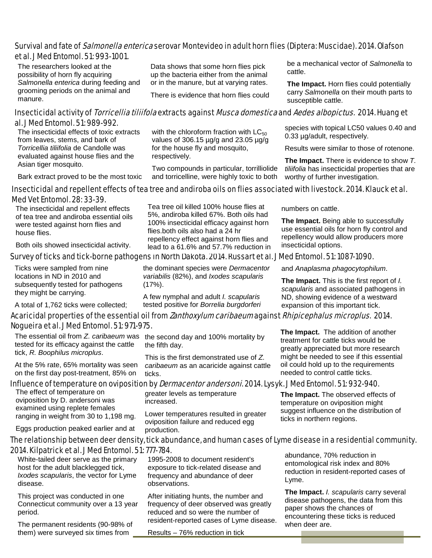#### Survival and fate of *Salmonella enterica* serovar Montevideo in adult horn flies (Diptera: Muscidae). 2014. Olafson et al. J Med Entomol. 51: 993-1001.

The researchers looked at the possibility of horn fly acquiring *Salmonella enterica* during feeding and grooming periods on the animal and manure.

Data shows that some horn flies pick up the bacteria either from the animal or in the manure, but at varying rates.

There is evidence that horn flies could

be a mechanical vector of *Salmonella* to cattle.

**The Impact.** Horn flies could potentially carry *Salmonella* on their mouth parts to susceptible cattle.

#### Insecticidal activity of *Torricellia tiliifola* extracts against *Musca domestica* and *Aedes albopictus.* 2014. Huang et al. J Med Entomol. 51: 989-992.

The insecticidal effects of toxic extracts from leaves, stems, and bark of *Torricellia tiliifolia* de Candolle was evaluated against house flies and the Asian tiger mosquito.

Bark extract proved to be the most toxic

with the chloroform fraction with  $LC_{50}$ values of 306.15 µg/g and 23.05 µg/g for the house fly and mosquito, respectively.

Two compounds in particular, torrilliolide and torricelline, were highly toxic to both

species with topical LC50 values 0.40 and 0.33 µg/adult, respectively.

Results were similar to those of rotenone.

**The Impact.** There is evidence to show *T. tiliifolia* has insecticidal properties that are worthy of further investigation.

#### Insecticidal and repellent effects of tea tree and andiroba oils on flies associated with livestock. 2014. Klauck et al. Med Vet Entomol. 28: 33-39.

The insecticidal and repellent effects of tea tree and andiroba essential oils were tested against horn flies and house flies.

Both oils showed insecticidal activity.

Survey of ticks and tick-borne pathogens in North Dakota. 2014. Russart et al. J Med Entomol. 51: 1087-1090.

Ticks were sampled from nine locations in ND in 2010 and subsequently tested for pathogens they might be carrying.

A total of 1,762 ticks were collected;

Tea tree oil killed 100% house flies at 5%, andiroba killed 67%. Both oils had 100% insecticidal efficacy against horn flies.both oils also had a 24 hr repellency effect against horn flies and lead to a 61.6% and 57.7% reduction in

numbers on cattle.

insecticidal options.

and *Anaplasma phagocytophilum*.

treatment for cattle ticks would be

**The Impact.** This is the first report of *I. scapularis* and associated pathogens in ND, showing evidence of a westward expansion of this important tick.

**The Impact.** Being able to successfully use essential oils for horn fly control and repellency would allow producers more

#### Acaricidal properties of the essential oil from *Zanthoxylum caribaeum* against *Rhipicephalus microplus*. 2014. Nogueira et al. J Med Entomol. 51: 971-975. **The Impact.** The addition of another

The essential oil from *Z. caribaeum* was tested for its efficacy against the cattle tick, *R. Boophilus microplus*.

At the 5% rate, 65% mortality was seen on the first day post-treatment, 85% on

Influence of temperature on oviposition by *Dermacentor andersoni*. 2014. Lysyk. J Med Entomol. 51: 932-940. greater levels as temperature

increased.

production.

The effect of temperature on oviposition by D. andersoni was examined using replete females ranging in weight from 30 to 1,198 mg.

Eggs production peaked earlier and at

the second day and 100% mortality by the fifth day.

This is the first demonstrated use of *Z. caribaeum* as an acaricide against cattle ticks.

> **The Impact.** The observed effects of temperature on oviposition might suggest influence on the distribution of ticks in northern regions.

The relationship between deer density, tick abundance, and human cases of Lyme disease in a residential community. 2014. Kilpatrick et al. J Med Entomol. 51: 777-784.

 White-tailed deer serve as the primary host for the adult blacklegged tick, *Ixodes scapularis*, the vector for Lyme disease.

This project was conducted in one Connecticut community over a 13 year period.

The permanent residents (90-98% of them) were surveyed six times from

1995-2008 to document resident's exposure to tick-related disease and frequency and abundance of deer observations.

Lower temperatures resulted in greater oviposition failure and reduced egg

After initiating hunts, the number and frequency of deer observed was greatly reduced and so were the number of resident-reported cases of Lyme disease.

Results – 76% reduction in tick

abundance, 70% reduction in entomological risk index and 80% reduction in resident-reported cases of Lyme.

**The Impact.** *I. scapularis* carry several disease pathogens, the data from this paper shows the chances of encountering these ticks is reduced when deer are.

greatly appreciated but more research might be needed to see if this essential oil could hold up to the requirements needed to control cattle ticks.

the dominant species were *Dermacentor variabilis* (82%), and *Ixodes scapularis* (17%).

A few nymphal and adult *I. scapularis* tested positive for *Borrelia burgdorferi*